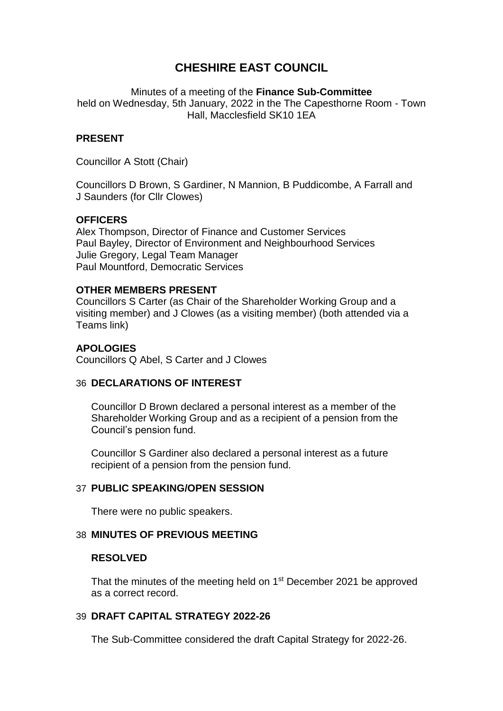# **CHESHIRE EAST COUNCIL**

Minutes of a meeting of the **Finance Sub-Committee** held on Wednesday, 5th January, 2022 in the The Capesthorne Room - Town Hall, Macclesfield SK10 1EA

# **PRESENT**

Councillor A Stott (Chair)

Councillors D Brown, S Gardiner, N Mannion, B Puddicombe, A Farrall and J Saunders (for Cllr Clowes)

## **OFFICERS**

Alex Thompson, Director of Finance and Customer Services Paul Bayley, Director of Environment and Neighbourhood Services Julie Gregory, Legal Team Manager Paul Mountford, Democratic Services

## **OTHER MEMBERS PRESENT**

Councillors S Carter (as Chair of the Shareholder Working Group and a visiting member) and J Clowes (as a visiting member) (both attended via a Teams link)

## **APOLOGIES**

Councillors Q Abel, S Carter and J Clowes

## 36 **DECLARATIONS OF INTEREST**

Councillor D Brown declared a personal interest as a member of the Shareholder Working Group and as a recipient of a pension from the Council's pension fund.

Councillor S Gardiner also declared a personal interest as a future recipient of a pension from the pension fund.

## 37 **PUBLIC SPEAKING/OPEN SESSION**

There were no public speakers.

#### 38 **MINUTES OF PREVIOUS MEETING**

#### **RESOLVED**

That the minutes of the meeting held on 1<sup>st</sup> December 2021 be approved as a correct record.

## 39 **DRAFT CAPITAL STRATEGY 2022-26**

The Sub-Committee considered the draft Capital Strategy for 2022-26.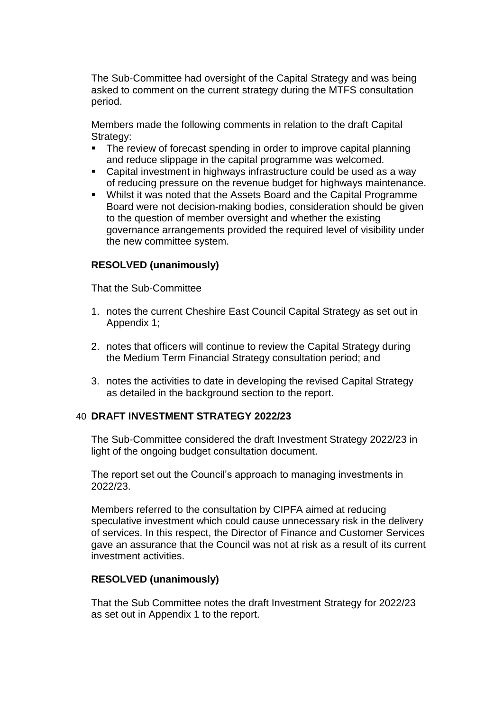The Sub-Committee had oversight of the Capital Strategy and was being asked to comment on the current strategy during the MTFS consultation period.

Members made the following comments in relation to the draft Capital Strategy:

- The review of forecast spending in order to improve capital planning and reduce slippage in the capital programme was welcomed.
- Capital investment in highways infrastructure could be used as a way of reducing pressure on the revenue budget for highways maintenance.
- Whilst it was noted that the Assets Board and the Capital Programme Board were not decision-making bodies, consideration should be given to the question of member oversight and whether the existing governance arrangements provided the required level of visibility under the new committee system.

# **RESOLVED (unanimously)**

That the Sub-Committee

- 1. notes the current Cheshire East Council Capital Strategy as set out in Appendix 1;
- 2. notes that officers will continue to review the Capital Strategy during the Medium Term Financial Strategy consultation period; and
- 3. notes the activities to date in developing the revised Capital Strategy as detailed in the background section to the report.

## 40 **DRAFT INVESTMENT STRATEGY 2022/23**

The Sub-Committee considered the draft Investment Strategy 2022/23 in light of the ongoing budget consultation document.

The report set out the Council's approach to managing investments in 2022/23.

Members referred to the consultation by CIPFA aimed at reducing speculative investment which could cause unnecessary risk in the delivery of services. In this respect, the Director of Finance and Customer Services gave an assurance that the Council was not at risk as a result of its current investment activities.

## **RESOLVED (unanimously)**

That the Sub Committee notes the draft Investment Strategy for 2022/23 as set out in Appendix 1 to the report.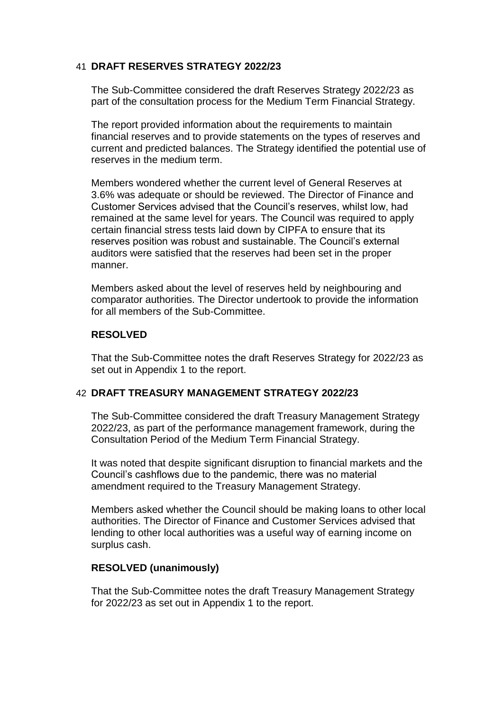# 41 **DRAFT RESERVES STRATEGY 2022/23**

The Sub-Committee considered the draft Reserves Strategy 2022/23 as part of the consultation process for the Medium Term Financial Strategy.

The report provided information about the requirements to maintain financial reserves and to provide statements on the types of reserves and current and predicted balances. The Strategy identified the potential use of reserves in the medium term.

Members wondered whether the current level of General Reserves at 3.6% was adequate or should be reviewed. The Director of Finance and Customer Services advised that the Council's reserves, whilst low, had remained at the same level for years. The Council was required to apply certain financial stress tests laid down by CIPFA to ensure that its reserves position was robust and sustainable. The Council's external auditors were satisfied that the reserves had been set in the proper manner.

Members asked about the level of reserves held by neighbouring and comparator authorities. The Director undertook to provide the information for all members of the Sub-Committee.

#### **RESOLVED**

That the Sub-Committee notes the draft Reserves Strategy for 2022/23 as set out in Appendix 1 to the report.

## 42 **DRAFT TREASURY MANAGEMENT STRATEGY 2022/23**

The Sub-Committee considered the draft Treasury Management Strategy 2022/23, as part of the performance management framework, during the Consultation Period of the Medium Term Financial Strategy.

It was noted that despite significant disruption to financial markets and the Council's cashflows due to the pandemic, there was no material amendment required to the Treasury Management Strategy.

Members asked whether the Council should be making loans to other local authorities. The Director of Finance and Customer Services advised that lending to other local authorities was a useful way of earning income on surplus cash.

## **RESOLVED (unanimously)**

That the Sub-Committee notes the draft Treasury Management Strategy for 2022/23 as set out in Appendix 1 to the report.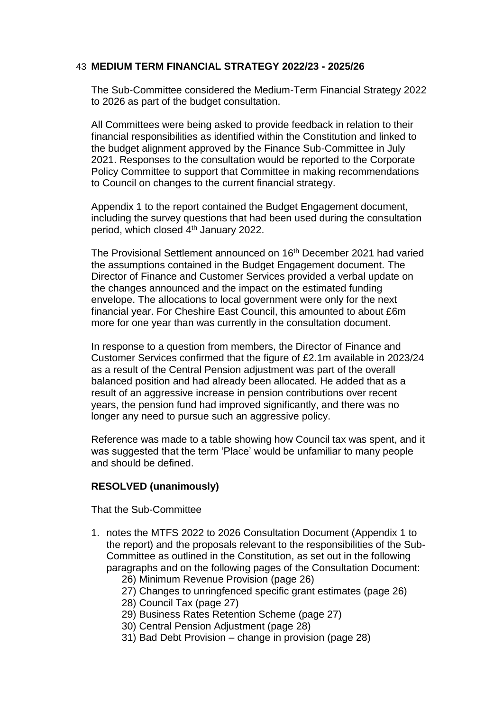## 43 **MEDIUM TERM FINANCIAL STRATEGY 2022/23 - 2025/26**

The Sub-Committee considered the Medium-Term Financial Strategy 2022 to 2026 as part of the budget consultation.

All Committees were being asked to provide feedback in relation to their financial responsibilities as identified within the Constitution and linked to the budget alignment approved by the Finance Sub-Committee in July 2021. Responses to the consultation would be reported to the Corporate Policy Committee to support that Committee in making recommendations to Council on changes to the current financial strategy.

Appendix 1 to the report contained the Budget Engagement document, including the survey questions that had been used during the consultation period, which closed 4th January 2022.

The Provisional Settlement announced on 16<sup>th</sup> December 2021 had varied the assumptions contained in the Budget Engagement document. The Director of Finance and Customer Services provided a verbal update on the changes announced and the impact on the estimated funding envelope. The allocations to local government were only for the next financial year. For Cheshire East Council, this amounted to about £6m more for one year than was currently in the consultation document.

In response to a question from members, the Director of Finance and Customer Services confirmed that the figure of £2.1m available in 2023/24 as a result of the Central Pension adjustment was part of the overall balanced position and had already been allocated. He added that as a result of an aggressive increase in pension contributions over recent years, the pension fund had improved significantly, and there was no longer any need to pursue such an aggressive policy.

Reference was made to a table showing how Council tax was spent, and it was suggested that the term 'Place' would be unfamiliar to many people and should be defined.

## **RESOLVED (unanimously)**

That the Sub-Committee

- 1. notes the MTFS 2022 to 2026 Consultation Document (Appendix 1 to the report) and the proposals relevant to the responsibilities of the Sub-Committee as outlined in the Constitution, as set out in the following paragraphs and on the following pages of the Consultation Document:
	- 26) Minimum Revenue Provision (page 26)
	- 27) Changes to unringfenced specific grant estimates (page 26)
	- 28) Council Tax (page 27)
	- 29) Business Rates Retention Scheme (page 27)
	- 30) Central Pension Adjustment (page 28)
	- 31) Bad Debt Provision change in provision (page 28)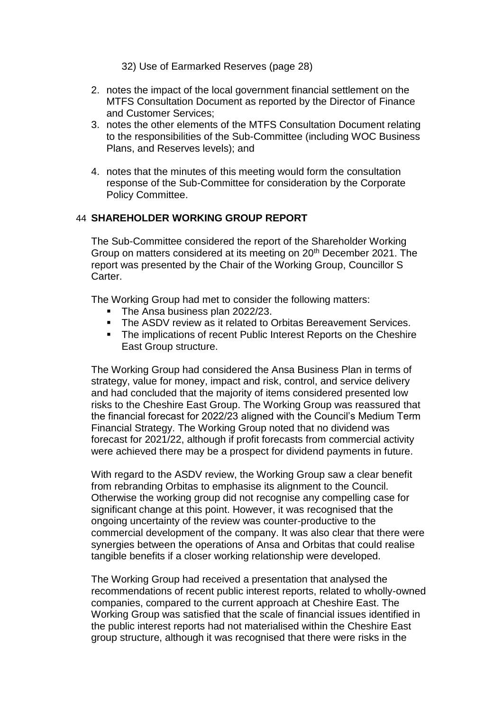32) Use of Earmarked Reserves (page 28)

- 2. notes the impact of the local government financial settlement on the MTFS Consultation Document as reported by the Director of Finance and Customer Services;
- 3. notes the other elements of the MTFS Consultation Document relating to the responsibilities of the Sub-Committee (including WOC Business Plans, and Reserves levels); and
- 4. notes that the minutes of this meeting would form the consultation response of the Sub-Committee for consideration by the Corporate Policy Committee.

# 44 **SHAREHOLDER WORKING GROUP REPORT**

The Sub-Committee considered the report of the Shareholder Working Group on matters considered at its meeting on 20<sup>th</sup> December 2021. The report was presented by the Chair of the Working Group, Councillor S Carter.

The Working Group had met to consider the following matters:

- The Ansa business plan 2022/23.
- The ASDV review as it related to Orbitas Bereavement Services.
- **The implications of recent Public Interest Reports on the Cheshire** East Group structure.

The Working Group had considered the Ansa Business Plan in terms of strategy, value for money, impact and risk, control, and service delivery and had concluded that the majority of items considered presented low risks to the Cheshire East Group. The Working Group was reassured that the financial forecast for 2022/23 aligned with the Council's Medium Term Financial Strategy. The Working Group noted that no dividend was forecast for 2021/22, although if profit forecasts from commercial activity were achieved there may be a prospect for dividend payments in future.

With regard to the ASDV review, the Working Group saw a clear benefit from rebranding Orbitas to emphasise its alignment to the Council. Otherwise the working group did not recognise any compelling case for significant change at this point. However, it was recognised that the ongoing uncertainty of the review was counter-productive to the commercial development of the company. It was also clear that there were synergies between the operations of Ansa and Orbitas that could realise tangible benefits if a closer working relationship were developed.

The Working Group had received a presentation that analysed the recommendations of recent public interest reports, related to wholly-owned companies, compared to the current approach at Cheshire East. The Working Group was satisfied that the scale of financial issues identified in the public interest reports had not materialised within the Cheshire East group structure, although it was recognised that there were risks in the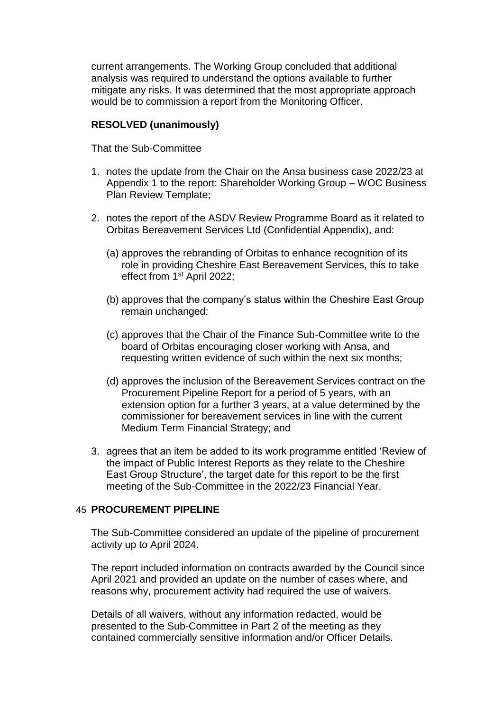current arrangements. The Working Group concluded that additional analysis was required to understand the options available to further mitigate any risks. It was determined that the most appropriate approach would be to commission a report from the Monitoring Officer.

#### **RESOLVED (unanimously)**

That the Sub-Committee

- 1. notes the update from the Chair on the Ansa business case 2022/23 at Appendix 1 to the report: Shareholder Working Group – WOC Business Plan Review Template;
- 2. notes the report of the ASDV Review Programme Board as it related to Orbitas Bereavement Services Ltd (Confidential Appendix), and:
	- (a) approves the rebranding of Orbitas to enhance recognition of its role in providing Cheshire East Bereavement Services, this to take effect from 1st April 2022;
	- (b) approves that the company's status within the Cheshire East Group remain unchanged;
	- (c) approves that the Chair of the Finance Sub-Committee write to the board of Orbitas encouraging closer working with Ansa, and requesting written evidence of such within the next six months;
	- (d) approves the inclusion of the Bereavement Services contract on the Procurement Pipeline Report for a period of 5 years, with an extension option for a further 3 years, at a value determined by the commissioner for bereavement services in line with the current Medium Term Financial Strategy; and
- 3. agrees that an item be added to its work programme entitled 'Review of the impact of Public Interest Reports as they relate to the Cheshire East Group Structure', the target date for this report to be the first meeting of the Sub-Committee in the 2022/23 Financial Year.

#### 45 **PROCUREMENT PIPELINE**

The Sub-Committee considered an update of the pipeline of procurement activity up to April 2024.

The report included information on contracts awarded by the Council since April 2021 and provided an update on the number of cases where, and reasons why, procurement activity had required the use of waivers.

Details of all waivers, without any information redacted, would be presented to the Sub-Committee in Part 2 of the meeting as they contained commercially sensitive information and/or Officer Details.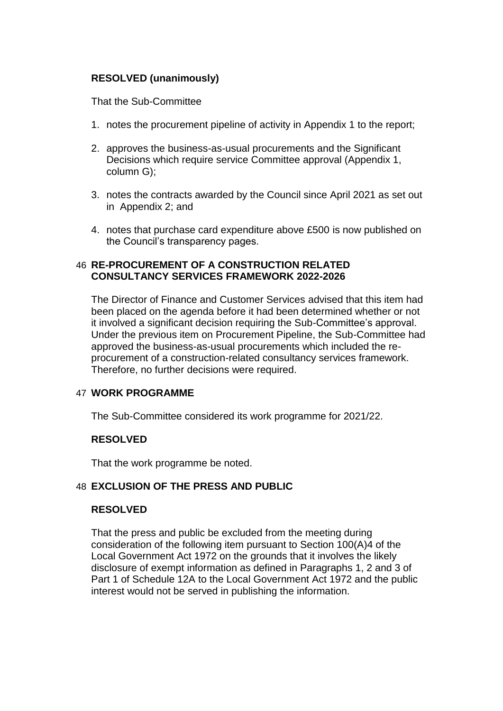# **RESOLVED (unanimously)**

That the Sub-Committee

- 1. notes the procurement pipeline of activity in Appendix 1 to the report;
- 2. approves the business-as-usual procurements and the Significant Decisions which require service Committee approval (Appendix 1, column G);
- 3. notes the contracts awarded by the Council since April 2021 as set out in Appendix 2; and
- 4. notes that purchase card expenditure above £500 is now published on the Council's transparency pages.

#### 46 **RE-PROCUREMENT OF A CONSTRUCTION RELATED CONSULTANCY SERVICES FRAMEWORK 2022-2026**

The Director of Finance and Customer Services advised that this item had been placed on the agenda before it had been determined whether or not it involved a significant decision requiring the Sub-Committee's approval. Under the previous item on Procurement Pipeline, the Sub-Committee had approved the business-as-usual procurements which included the reprocurement of a construction-related consultancy services framework. Therefore, no further decisions were required.

## 47 **WORK PROGRAMME**

The Sub-Committee considered its work programme for 2021/22.

## **RESOLVED**

That the work programme be noted.

## 48 **EXCLUSION OF THE PRESS AND PUBLIC**

## **RESOLVED**

That the press and public be excluded from the meeting during consideration of the following item pursuant to Section 100(A)4 of the Local Government Act 1972 on the grounds that it involves the likely disclosure of exempt information as defined in Paragraphs 1, 2 and 3 of Part 1 of Schedule 12A to the Local Government Act 1972 and the public interest would not be served in publishing the information.